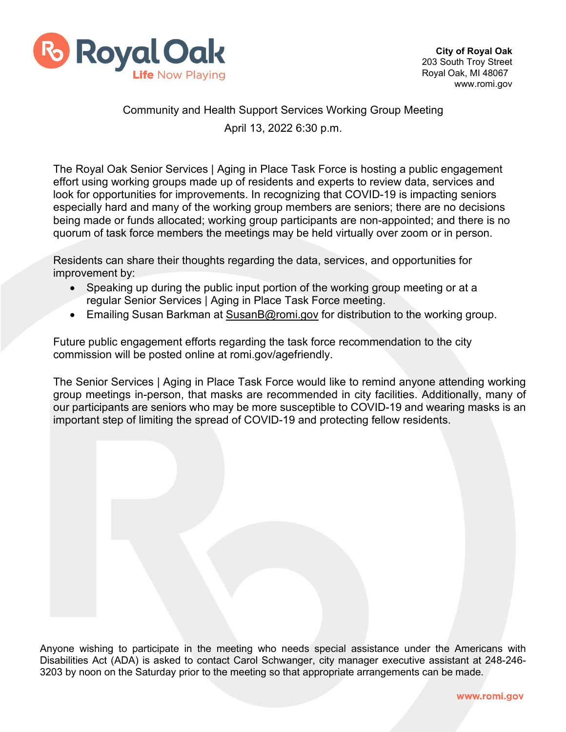

## Community and Health Support Services Working Group Meeting April 13, 2022 6:30 p.m.

The Royal Oak Senior Services | Aging in Place Task Force is hosting a public engagement effort using working groups made up of residents and experts to review data, services and look for opportunities for improvements. In recognizing that COVID-19 is impacting seniors especially hard and many of the working group members are seniors; there are no decisions being made or funds allocated; working group participants are non-appointed; and there is no quorum of task force members the meetings may be held virtually over zoom or in person.

Residents can share their thoughts regarding the data, services, and opportunities for improvement by:

- Speaking up during the public input portion of the working group meeting or at a regular Senior Services | Aging in Place Task Force meeting.
- Emailing Susan Barkman at [SusanB@romi.gov](mailto:SusanB@romi.gov) for distribution to the working group.

Future public engagement efforts regarding the task force recommendation to the city commission will be posted online at romi.gov/agefriendly.

The Senior Services | Aging in Place Task Force would like to remind anyone attending working group meetings in-person, that masks are recommended in city facilities. Additionally, many of our participants are seniors who may be more susceptible to COVID-19 and wearing masks is an important step of limiting the spread of COVID-19 and protecting fellow residents.

Anyone wishing to participate in the meeting who needs special assistance under the Americans with Disabilities Act (ADA) is asked to contact Carol Schwanger, city manager executive assistant at 248-246- 3203 by noon on the Saturday prior to the meeting so that appropriate arrangements can be made.